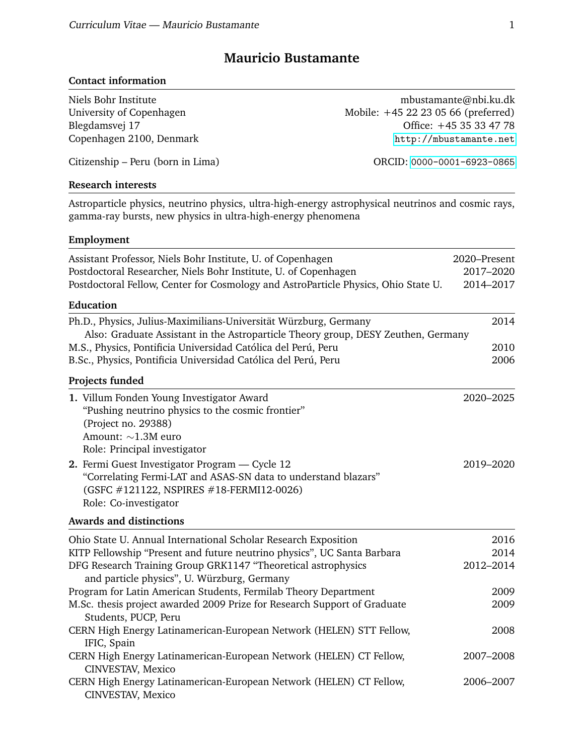# **Mauricio Bustamante**

## **Contact information**

| Niels Bohr Institute                                                                                                                                                                                                 | mbustamante@nbi.ku.dk                                                                               |
|----------------------------------------------------------------------------------------------------------------------------------------------------------------------------------------------------------------------|-----------------------------------------------------------------------------------------------------|
| University of Copenhagen                                                                                                                                                                                             | Mobile: +45 22 23 05 66 (preferred)                                                                 |
| Blegdamsvej 17                                                                                                                                                                                                       | Office: +45 35 33 47 78                                                                             |
| Copenhagen 2100, Denmark                                                                                                                                                                                             | http://mbustamante.net                                                                              |
| Citizenship – Peru (born in Lima)                                                                                                                                                                                    | ORCID: 0000-0001-6923-0865                                                                          |
| <b>Research interests</b>                                                                                                                                                                                            |                                                                                                     |
| gamma-ray bursts, new physics in ultra-high-energy phenomena                                                                                                                                                         | Astroparticle physics, neutrino physics, ultra-high-energy astrophysical neutrinos and cosmic rays, |
| Employment                                                                                                                                                                                                           |                                                                                                     |
| Assistant Professor, Niels Bohr Institute, U. of Copenhagen<br>Postdoctoral Researcher, Niels Bohr Institute, U. of Copenhagen<br>Postdoctoral Fellow, Center for Cosmology and AstroParticle Physics, Ohio State U. | 2020–Present<br>2017-2020<br>2014-2017                                                              |
| <b>Education</b>                                                                                                                                                                                                     |                                                                                                     |
| Ph.D., Physics, Julius-Maximilians-Universität Würzburg, Germany                                                                                                                                                     | 2014                                                                                                |
| Also: Graduate Assistant in the Astroparticle Theory group, DESY Zeuthen, Germany                                                                                                                                    |                                                                                                     |
| M.S., Physics, Pontificia Universidad Católica del Perú, Peru                                                                                                                                                        | 2010                                                                                                |
| B.Sc., Physics, Pontificia Universidad Católica del Perú, Peru                                                                                                                                                       | 2006                                                                                                |
| Projects funded                                                                                                                                                                                                      |                                                                                                     |
| 1. Villum Fonden Young Investigator Award                                                                                                                                                                            | 2020-2025                                                                                           |
| "Pushing neutrino physics to the cosmic frontier"                                                                                                                                                                    |                                                                                                     |
| (Project no. 29388)                                                                                                                                                                                                  |                                                                                                     |
| Amount: $\sim$ 1.3M euro                                                                                                                                                                                             |                                                                                                     |
| Role: Principal investigator                                                                                                                                                                                         |                                                                                                     |
| 2. Fermi Guest Investigator Program - Cycle 12<br>"Correlating Fermi-LAT and ASAS-SN data to understand blazars"                                                                                                     | 2019-2020                                                                                           |
| (GSFC #121122, NSPIRES #18-FERMI12-0026)                                                                                                                                                                             |                                                                                                     |
| Role: Co-investigator                                                                                                                                                                                                |                                                                                                     |
| <b>Awards and distinctions</b>                                                                                                                                                                                       |                                                                                                     |
| Ohio State U. Annual International Scholar Research Exposition                                                                                                                                                       | 2016                                                                                                |
| KITP Fellowship "Present and future neutrino physics", UC Santa Barbara                                                                                                                                              | 2014                                                                                                |
| DFG Research Training Group GRK1147 "Theoretical astrophysics                                                                                                                                                        | 2012-2014                                                                                           |
| and particle physics", U. Würzburg, Germany                                                                                                                                                                          |                                                                                                     |
| Program for Latin American Students, Fermilab Theory Department                                                                                                                                                      | 2009                                                                                                |
| M.Sc. thesis project awarded 2009 Prize for Research Support of Graduate                                                                                                                                             | 2009                                                                                                |
| Students, PUCP, Peru<br>CERN High Energy Latinamerican-European Network (HELEN) STT Fellow,                                                                                                                          | 2008                                                                                                |
| IFIC, Spain                                                                                                                                                                                                          |                                                                                                     |
| CERN High Energy Latinamerican-European Network (HELEN) CT Fellow,                                                                                                                                                   | 2007-2008                                                                                           |
| CINVESTAV, Mexico                                                                                                                                                                                                    |                                                                                                     |
| CERN High Energy Latinamerican-European Network (HELEN) CT Fellow,<br>CINVESTAV, Mexico                                                                                                                              | 2006-2007                                                                                           |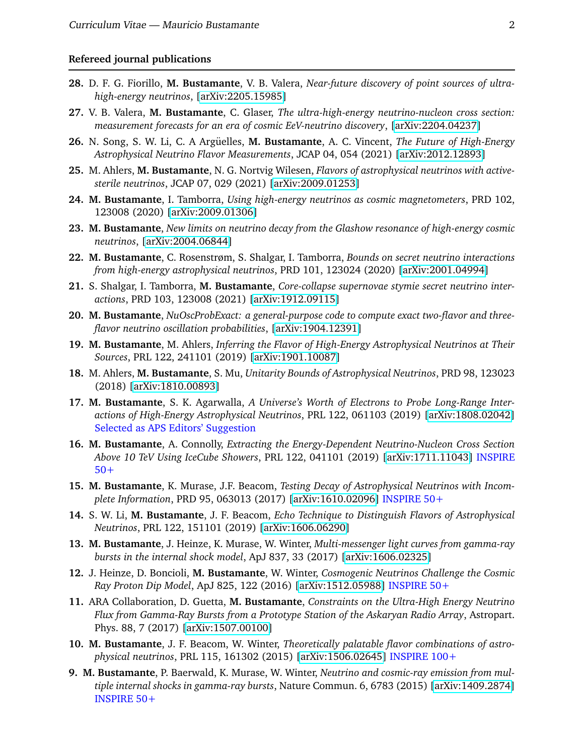#### **Refereed journal publications**

- **28.** D. F. G. Fiorillo, **M. Bustamante**, V. B. Valera, *Near-future discovery of point sources of ultrahigh-energy neutrinos*, [\[arXiv:2205.15985\]](https://arxiv.org/abs/2205.15985)
- **27.** V. B. Valera, **M. Bustamante**, C. Glaser, *The ultra-high-energy neutrino-nucleon cross section: measurement forecasts for an era of cosmic EeV-neutrino discovery*, [\[arXiv:2204.04237\]](https://arxiv.org/abs/2204.04237)
- 26. N. Song, S. W. Li, C. A Argüelles, M. Bustamante, A. C. Vincent, *The Future of High-Energy Astrophysical Neutrino Flavor Measurements*, JCAP 04, 054 (2021) [\[arXiv:2012.12893\]](https://arxiv.org/abs/2012.12893)
- **25.** M. Ahlers, **M. Bustamante**, N. G. Nortvig Wilesen, *Flavors of astrophysical neutrinos with activesterile neutrinos*, JCAP 07, 029 (2021) [\[arXiv:2009.01253\]](https://arxiv.org/abs/2009.01253)
- **24. M. Bustamante**, I. Tamborra, *Using high-energy neutrinos as cosmic magnetometers*, PRD 102, 123008 (2020) [\[arXiv:2009.01306\]](https://arxiv.org/abs/2009.01306)
- **23. M. Bustamante**, *New limits on neutrino decay from the Glashow resonance of high-energy cosmic neutrinos*, [\[arXiv:2004.06844\]](https://arxiv.org/abs/2004.06844)
- **22. M. Bustamante**, C. Rosenstrøm, S. Shalgar, I. Tamborra, *Bounds on secret neutrino interactions from high-energy astrophysical neutrinos*, PRD 101, 123024 (2020) [\[arXiv:2001.04994\]](https://arxiv.org/abs/2001.04994)
- **21.** S. Shalgar, I. Tamborra, **M. Bustamante**, *Core-collapse supernovae stymie secret neutrino interactions*, PRD 103, 123008 (2021) [\[arXiv:1912.09115\]](https://arxiv.org/abs/1912.09115)
- **20. M. Bustamante**, *NuOscProbExact: a general-purpose code to compute exact two-flavor and threeflavor neutrino oscillation probabilities*, [\[arXiv:1904.12391\]](http://arxiv.org/abs/arXiv:1904.12391)
- **19. M. Bustamante**, M. Ahlers, *Inferring the Flavor of High-Energy Astrophysical Neutrinos at Their Sources*, PRL 122, 241101 (2019) [\[arXiv:1901.10087\]](http://arxiv.org/abs/arXiv:1901.10087)
- **18.** M. Ahlers, **M. Bustamante**, S. Mu, *Unitarity Bounds of Astrophysical Neutrinos*, PRD 98, 123023 (2018) [\[arXiv:1810.00893\]](http://arxiv.org/abs/arXiv:1810.00893)
- **17. M. Bustamante**, S. K. Agarwalla, *A Universe's Worth of Electrons to Probe Long-Range Interactions of High-Energy Astrophysical Neutrinos*, PRL 122, 061103 (2019) [\[arXiv:1808.02042\]](http://arxiv.org/abs/arXiv:1808.02042) Selected as APS Editors' Suggestion
- **16. M. Bustamante**, A. Connolly, *Extracting the Energy-Dependent Neutrino-Nucleon Cross Section Above 10 TeV Using IceCube Showers*, PRL 122, 041101 (2019) [\[arXiv:1711.11043\]](http://arxiv.org/abs/arXiv:1711.11043) INSPIRE 50+
- **15. M. Bustamante**, K. Murase, J.F. Beacom, *Testing Decay of Astrophysical Neutrinos with Incomplete Information*, PRD 95, 063013 (2017) [\[arXiv:1610.02096\]](http://arxiv.org/abs/arXiv:1610.02096) INSPIRE 50+
- **14.** S. W. Li, **M. Bustamante**, J. F. Beacom, *Echo Technique to Distinguish Flavors of Astrophysical Neutrinos*, PRL 122, 151101 (2019) [\[arXiv:1606.06290\]](http://arxiv.org/abs/arXiv:1606.06290)
- **13. M. Bustamante**, J. Heinze, K. Murase, W. Winter, *Multi-messenger light curves from gamma-ray bursts in the internal shock model*, ApJ 837, 33 (2017) [\[arXiv:1606.02325\]](http://arxiv.org/abs/arXiv:1606.02325)
- **12.** J. Heinze, D. Boncioli, **M. Bustamante**, W. Winter, *Cosmogenic Neutrinos Challenge the Cosmic Ray Proton Dip Model*, ApJ 825, 122 (2016) [\[arXiv:1512.05988\]](http://arxiv.org/abs/arXiv:1512.05988) INSPIRE 50+
- **11.** ARA Collaboration, D. Guetta, **M. Bustamante**, *Constraints on the Ultra-High Energy Neutrino Flux from Gamma-Ray Bursts from a Prototype Station of the Askaryan Radio Array*, Astropart. Phys. 88, 7 (2017) [\[arXiv:1507.00100\]](http://arxiv.org/abs/arXiv:1507.00100)
- **10. M. Bustamante**, J. F. Beacom, W. Winter, *Theoretically palatable flavor combinations of astrophysical neutrinos*, PRL 115, 161302 (2015) [\[arXiv:1506.02645\]](http://arxiv.org/abs/arXiv:1506.02645) INSPIRE 100+
- **9. M. Bustamante**, P. Baerwald, K. Murase, W. Winter, *Neutrino and cosmic-ray emission from multiple internal shocks in gamma-ray bursts*, Nature Commun. 6, 6783 (2015) [\[arXiv:1409.2874\]](http://arxiv.org/abs/arXiv:1409.2874) INSPIRE 50+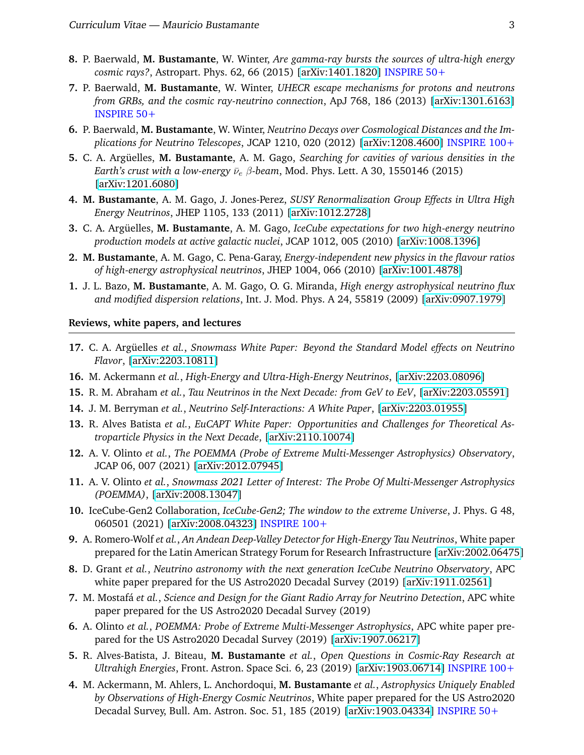- **8.** P. Baerwald, **M. Bustamante**, W. Winter, *Are gamma-ray bursts the sources of ultra-high energy cosmic rays?*, Astropart. Phys. 62, 66 (2015) [\[arXiv:1401.1820\]](http://arxiv.org/abs/arXiv:1401.1820) INSPIRE 50+
- **7.** P. Baerwald, **M. Bustamante**, W. Winter, *UHECR escape mechanisms for protons and neutrons from GRBs, and the cosmic ray-neutrino connection*, ApJ 768, 186 (2013) [\[arXiv:1301.6163\]](http://arxiv.org/abs/arXiv:1301.6163) INSPIRE 50+
- **6.** P. Baerwald, **M. Bustamante**, W. Winter, *Neutrino Decays over Cosmological Distances and the Implications for Neutrino Telescopes*, JCAP 1210, 020 (2012) [\[arXiv:1208.4600\]](http://arxiv.org/abs/arXiv:1208.4600) INSPIRE 100+
- **5.** C. A. Argüelles, M. Bustamante, A. M. Gago, *Searching for cavities of various densities in the Earth's crust with a low-energy*  $\bar{\nu}_e$   $\beta$ -beam, Mod. Phys. Lett. A 30, 1550146 (2015) [\[arXiv:1201.6080\]](http://arxiv.org/abs/arXiv:1201.6080)
- **4. M. Bustamante**, A. M. Gago, J. Jones-Perez, *SUSY Renormalization Group Effects in Ultra High Energy Neutrinos*, JHEP 1105, 133 (2011) [\[arXiv:1012.2728\]](http://arxiv.org/abs/arXiv:1012.2728)
- **3.** C. A. Argüelles, M. Bustamante, A. M. Gago, *IceCube expectations for two high-energy neutrino production models at active galactic nuclei*, JCAP 1012, 005 (2010) [\[arXiv:1008.1396\]](http://arxiv.org/abs/arXiv:1008.1396)
- **2. M. Bustamante**, A. M. Gago, C. Pena-Garay, *Energy-independent new physics in the flavour ratios of high-energy astrophysical neutrinos*, JHEP 1004, 066 (2010) [\[arXiv:1001.4878\]](http://arxiv.org/abs/arXiv:1001.4878)
- **1.** J. L. Bazo, **M. Bustamante**, A. M. Gago, O. G. Miranda, *High energy astrophysical neutrino flux and modified dispersion relations*, Int. J. Mod. Phys. A 24, 55819 (2009) [\[arXiv:0907.1979\]](http://arxiv.org/abs/arXiv:0907.1979)

#### **Reviews, white papers, and lectures**

- 17. C. A. Argüelles et al., *Snowmass White Paper: Beyond the Standard Model effects on Neutrino Flavor*, [\[arXiv:2203.10811\]](https://arxiv.org/abs/2203.10811)
- **16.** M. Ackermann *et al.*, *High-Energy and Ultra-High-Energy Neutrinos*, [\[arXiv:2203.08096\]](https://arxiv.org/abs/2203.08096)
- **15.** R. M. Abraham *et al.*, *Tau Neutrinos in the Next Decade: from GeV to EeV*, [\[arXiv:2203.05591\]](https://arxiv.org/abs/2203.05591)
- **14.** J. M. Berryman *et al.*, *Neutrino Self-Interactions: A White Paper*, [\[arXiv:2203.01955\]](https://arxiv.org/abs/2203.01955)
- **13.** R. Alves Batista *et al.*, *EuCAPT White Paper: Opportunities and Challenges for Theoretical Astroparticle Physics in the Next Decade*, [\[arXiv:2110.10074\]](https://arxiv.org/abs/2110.10074)
- **12.** A. V. Olinto *et al.*, *The POEMMA (Probe of Extreme Multi-Messenger Astrophysics) Observatory*, JCAP 06, 007 (2021) [\[arXiv:2012.07945\]](https://arxiv.org/abs/2012.07945)
- **11.** A. V. Olinto *et al.*, *Snowmass 2021 Letter of Interest: The Probe Of Multi-Messenger Astrophysics (POEMMA)*, [\[arXiv:2008.13047\]](https://arxiv.org/abs/2008.13047)
- **10.** IceCube-Gen2 Collaboration, *IceCube-Gen2; The window to the extreme Universe*, J. Phys. G 48, 060501 (2021) [\[arXiv:2008.04323\]](https://arxiv.org/abs/2008.04323) INSPIRE 100+
- **9.** A. Romero-Wolf *et al.*, *An Andean Deep-Valley Detector for High-Energy Tau Neutrinos*, White paper prepared for the Latin American Strategy Forum for Research Infrastructure [\[arXiv:2002.06475\]](https://arxiv.org/abs/2002.06475)
- **8.** D. Grant *et al.*, *Neutrino astronomy with the next generation IceCube Neutrino Observatory*, APC white paper prepared for the US Astro2020 Decadal Survey (2019) [\[arXiv:1911.02561\]](http://arxiv.org/abs/arXiv:1911.02561)
- **7.** M. Mostafa´ *et al.*, *Science and Design for the Giant Radio Array for Neutrino Detection*, APC white paper prepared for the US Astro2020 Decadal Survey (2019)
- **6.** A. Olinto *et al.*, *POEMMA: Probe of Extreme Multi-Messenger Astrophysics*, APC white paper prepared for the US Astro2020 Decadal Survey (2019) [\[arXiv:1907.06217\]](http://arxiv.org/abs/arXiv:1907.06217)
- **5.** R. Alves-Batista, J. Biteau, **M. Bustamante** *et al.*, *Open Questions in Cosmic-Ray Research at Ultrahigh Energies*, Front. Astron. Space Sci. 6, 23 (2019) [\[arXiv:1903.06714\]](http://arxiv.org/abs/arXiv:1903.06714) INSPIRE 100+
- **4.** M. Ackermann, M. Ahlers, L. Anchordoqui, **M. Bustamante** *et al.*, *Astrophysics Uniquely Enabled by Observations of High-Energy Cosmic Neutrinos*, White paper prepared for the US Astro2020 Decadal Survey, Bull. Am. Astron. Soc. 51, 185 (2019) [\[arXiv:1903.04334\]](http://arxiv.org/abs/arXiv:1903.04334) INSPIRE 50+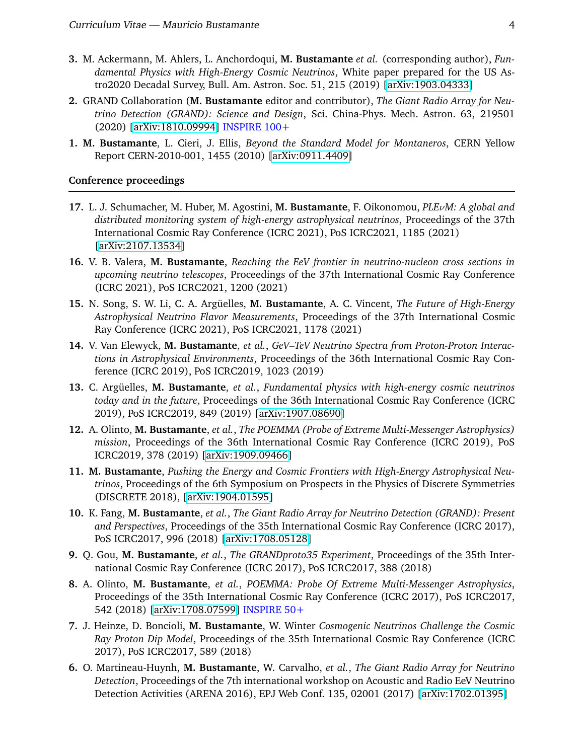- **3.** M. Ackermann, M. Ahlers, L. Anchordoqui, **M. Bustamante** *et al.* (corresponding author), *Fundamental Physics with High-Energy Cosmic Neutrinos*, White paper prepared for the US Astro2020 Decadal Survey, Bull. Am. Astron. Soc. 51, 215 (2019) [\[arXiv:1903.04333\]](http://arxiv.org/abs/arXiv:1903.04333)
- **2.** GRAND Collaboration (**M. Bustamante** editor and contributor), *The Giant Radio Array for Neutrino Detection (GRAND): Science and Design*, Sci. China-Phys. Mech. Astron. 63, 219501 (2020) [\[arXiv:1810.09994\]](http://arxiv.org/abs/arXiv:1810.09994) INSPIRE 100+
- **1. M. Bustamante**, L. Cieri, J. Ellis, *Beyond the Standard Model for Montaneros*, CERN Yellow Report CERN-2010-001, 1455 (2010) [\[arXiv:0911.4409\]](http://arxiv.org/abs/arXiv:0911.4409)

#### **Conference proceedings**

- **17.** L. J. Schumacher, M. Huber, M. Agostini, **M. Bustamante**, F. Oikonomou, *PLE*ν*M: A global and distributed monitoring system of high-energy astrophysical neutrinos*, Proceedings of the 37th International Cosmic Ray Conference (ICRC 2021), PoS ICRC2021, 1185 (2021) [\[arXiv:2107.13534\]](http://arxiv.org/abs/arXiv:2107.13534)
- **16.** V. B. Valera, **M. Bustamante**, *Reaching the EeV frontier in neutrino-nucleon cross sections in upcoming neutrino telescopes*, Proceedings of the 37th International Cosmic Ray Conference (ICRC 2021), PoS ICRC2021, 1200 (2021)
- 15. N. Song, S. W. Li, C. A. Argüelles, M. Bustamante, A. C. Vincent, *The Future of High-Energy Astrophysical Neutrino Flavor Measurements*, Proceedings of the 37th International Cosmic Ray Conference (ICRC 2021), PoS ICRC2021, 1178 (2021)
- **14.** V. Van Elewyck, **M. Bustamante**, *et al.*, *GeV–TeV Neutrino Spectra from Proton-Proton Interactions in Astrophysical Environments*, Proceedings of the 36th International Cosmic Ray Conference (ICRC 2019), PoS ICRC2019, 1023 (2019)
- 13. C. Argüelles, M. Bustamante, *et al., Fundamental physics with high-energy cosmic neutrinos today and in the future*, Proceedings of the 36th International Cosmic Ray Conference (ICRC 2019), PoS ICRC2019, 849 (2019) [\[arXiv:1907.08690\]](http://arxiv.org/abs/arXiv:1907.08690)
- **12.** A. Olinto, **M. Bustamante**, *et al.*, *The POEMMA (Probe of Extreme Multi-Messenger Astrophysics) mission*, Proceedings of the 36th International Cosmic Ray Conference (ICRC 2019), PoS ICRC2019, 378 (2019) [\[arXiv:1909.09466\]](http://arxiv.org/abs/arXiv:1909.09466)
- **11. M. Bustamante**, *Pushing the Energy and Cosmic Frontiers with High-Energy Astrophysical Neutrinos*, Proceedings of the 6th Symposium on Prospects in the Physics of Discrete Symmetries (DISCRETE 2018), [\[arXiv:1904.01595\]](http://arxiv.org/abs/arXiv:1903.01595)
- **10.** K. Fang, **M. Bustamante**, *et al.*, *The Giant Radio Array for Neutrino Detection (GRAND): Present and Perspectives*, Proceedings of the 35th International Cosmic Ray Conference (ICRC 2017), PoS ICRC2017, 996 (2018) [\[arXiv:1708.05128\]](http://arxiv.org/abs/arXiv:1708.05128)
- **9.** Q. Gou, **M. Bustamante**, *et al.*, *The GRANDproto35 Experiment*, Proceedings of the 35th International Cosmic Ray Conference (ICRC 2017), PoS ICRC2017, 388 (2018)
- **8.** A. Olinto, **M. Bustamante**, *et al.*, *POEMMA: Probe Of Extreme Multi-Messenger Astrophysics*, Proceedings of the 35th International Cosmic Ray Conference (ICRC 2017), PoS ICRC2017, 542 (2018) [\[arXiv:1708.07599\]](http://arxiv.org/abs/arXiv:1708.07599) INSPIRE 50+
- **7.** J. Heinze, D. Boncioli, **M. Bustamante**, W. Winter *Cosmogenic Neutrinos Challenge the Cosmic Ray Proton Dip Model*, Proceedings of the 35th International Cosmic Ray Conference (ICRC 2017), PoS ICRC2017, 589 (2018)
- **6.** O. Martineau-Huynh, **M. Bustamante**, W. Carvalho, *et al.*, *The Giant Radio Array for Neutrino Detection*, Proceedings of the 7th international workshop on Acoustic and Radio EeV Neutrino Detection Activities (ARENA 2016), EPJ Web Conf. 135, 02001 (2017) [\[arXiv:1702.01395\]](http://arxiv.org/abs/arXiv:1702.01395)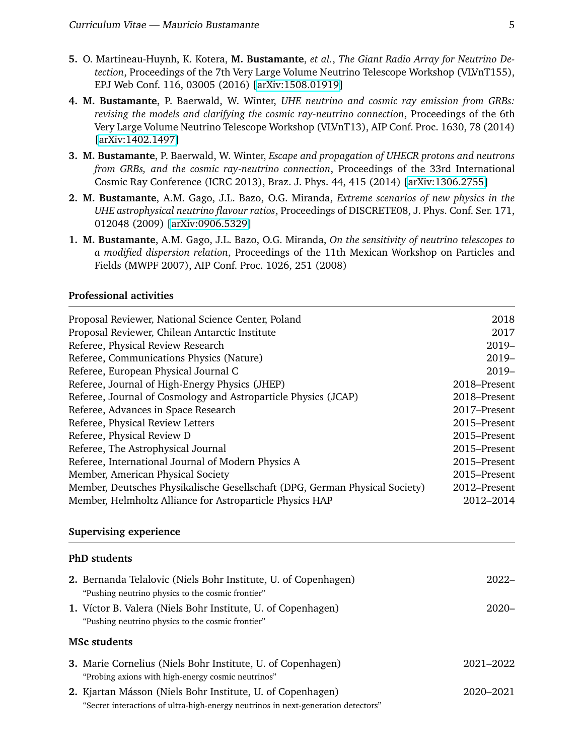- **5.** O. Martineau-Huynh, K. Kotera, **M. Bustamante**, *et al.*, *The Giant Radio Array for Neutrino Detection*, Proceedings of the 7th Very Large Volume Neutrino Telescope Workshop (VLVnT155), EPJ Web Conf. 116, 03005 (2016) [\[arXiv:1508.01919\]](http://arxiv.org/abs/arXiv:1508.01919)
- **4. M. Bustamante**, P. Baerwald, W. Winter, *UHE neutrino and cosmic ray emission from GRBs: revising the models and clarifying the cosmic ray-neutrino connection*, Proceedings of the 6th Very Large Volume Neutrino Telescope Workshop (VLVnT13), AIP Conf. Proc. 1630, 78 (2014) [\[arXiv:1402.1497\]](http://arxiv.org/abs/arXiv:1402.1497)
- **3. M. Bustamante**, P. Baerwald, W. Winter, *Escape and propagation of UHECR protons and neutrons from GRBs, and the cosmic ray-neutrino connection*, Proceedings of the 33rd International Cosmic Ray Conference (ICRC 2013), Braz. J. Phys. 44, 415 (2014) [\[arXiv:1306.2755\]](http://arxiv.org/abs/arXiv:1306.2755)
- **2. M. Bustamante**, A.M. Gago, J.L. Bazo, O.G. Miranda, *Extreme scenarios of new physics in the UHE astrophysical neutrino flavour ratios*, Proceedings of DISCRETE08, J. Phys. Conf. Ser. 171, 012048 (2009) [\[arXiv:0906.5329\]](http://arxiv.org/abs/arXiv:0906.5329)
- **1. M. Bustamante**, A.M. Gago, J.L. Bazo, O.G. Miranda, *On the sensitivity of neutrino telescopes to a modified dispersion relation*, Proceedings of the 11th Mexican Workshop on Particles and Fields (MWPF 2007), AIP Conf. Proc. 1026, 251 (2008)

#### **Professional activities**

| Proposal Reviewer, National Science Center, Poland                                                                  | 2018         |
|---------------------------------------------------------------------------------------------------------------------|--------------|
| Proposal Reviewer, Chilean Antarctic Institute                                                                      | 2017         |
| Referee, Physical Review Research                                                                                   | 2019-        |
| Referee, Communications Physics (Nature)                                                                            | $2019-$      |
| Referee, European Physical Journal C                                                                                | $2019-$      |
| Referee, Journal of High-Energy Physics (JHEP)                                                                      | 2018-Present |
| Referee, Journal of Cosmology and Astroparticle Physics (JCAP)                                                      | 2018-Present |
| Referee, Advances in Space Research                                                                                 | 2017-Present |
| Referee, Physical Review Letters                                                                                    | 2015-Present |
| Referee, Physical Review D                                                                                          | 2015-Present |
| Referee, The Astrophysical Journal                                                                                  | 2015-Present |
| Referee, International Journal of Modern Physics A                                                                  | 2015-Present |
| Member, American Physical Society                                                                                   | 2015-Present |
| Member, Deutsches Physikalische Gesellschaft (DPG, German Physical Society)                                         | 2012-Present |
| Member, Helmholtz Alliance for Astroparticle Physics HAP                                                            | 2012-2014    |
| <b>Supervising experience</b>                                                                                       |              |
| <b>PhD</b> students                                                                                                 |              |
| 2. Bernanda Telalovic (Niels Bohr Institute, U. of Copenhagen)<br>"Pushing neutrino physics to the cosmic frontier" | $2022 -$     |
| 1. Víctor B. Valera (Niels Bohr Institute, U. of Copenhagen)                                                        | $2020 -$     |
| "Pushing neutrino physics to the cosmic frontier"                                                                   |              |
|                                                                                                                     |              |
| <b>MSc students</b>                                                                                                 |              |
| 3. Marie Cornelius (Niels Bohr Institute, U. of Copenhagen)                                                         | 2021-2022    |
| "Probing axions with high-energy cosmic neutrinos"                                                                  |              |
| 2. Kjartan Másson (Niels Bohr Institute, U. of Copenhagen)                                                          | 2020-2021    |
| "Secret interactions of ultra-high-energy neutrinos in next-generation detectors"                                   |              |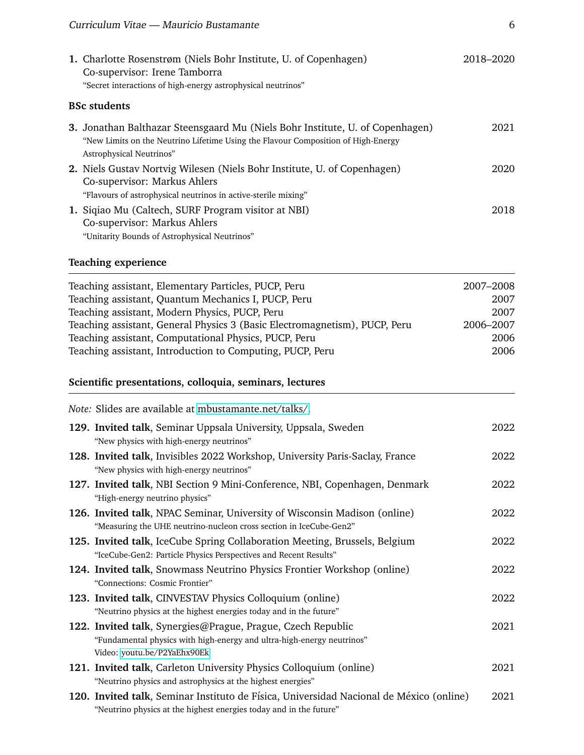| 1. Charlotte Rosenstrøm (Niels Bohr Institute, U. of Copenhagen)<br>Co-supervisor: Irene Tamborra                                                                                                     | 2018-2020 |
|-------------------------------------------------------------------------------------------------------------------------------------------------------------------------------------------------------|-----------|
| "Secret interactions of high-energy astrophysical neutrinos"                                                                                                                                          |           |
| <b>BSc students</b>                                                                                                                                                                                   |           |
| <b>3.</b> Jonathan Balthazar Steensgaard Mu (Niels Bohr Institute, U. of Copenhagen)<br>"New Limits on the Neutrino Lifetime Using the Flavour Composition of High-Energy<br>Astrophysical Neutrinos" | 2021      |
| <b>2.</b> Niels Gustav Nortvig Wilesen (Niels Bohr Institute, U. of Copenhagen)<br>Co-supervisor: Markus Ahlers<br>"Flavours of astrophysical neutrinos in active-sterile mixing"                     | 2020      |
| 1. Siqiao Mu (Caltech, SURF Program visitor at NBI)<br>Co-supervisor: Markus Ahlers<br>"Unitarity Bounds of Astrophysical Neutrinos"                                                                  | 2018      |

## **Teaching experience**

| Teaching assistant, Elementary Particles, PUCP, Peru<br>2007-2008<br>Teaching assistant, Quantum Mechanics I, PUCP, Peru<br>Teaching assistant, Modern Physics, PUCP, Peru<br>Teaching assistant, General Physics 3 (Basic Electromagnetism), PUCP, Peru<br>2006-2007<br>Teaching assistant, Computational Physics, PUCP, Peru<br>Teaching assistant, Introduction to Computing, PUCP, Peru |      |
|---------------------------------------------------------------------------------------------------------------------------------------------------------------------------------------------------------------------------------------------------------------------------------------------------------------------------------------------------------------------------------------------|------|
| Scientific presentations, colloquia, seminars, lectures                                                                                                                                                                                                                                                                                                                                     |      |
| Note: Slides are available at mbustamante.net/talks/.                                                                                                                                                                                                                                                                                                                                       |      |
| 129. Invited talk, Seminar Uppsala University, Uppsala, Sweden<br>"New physics with high-energy neutrinos"                                                                                                                                                                                                                                                                                  | 2022 |
| 128. Invited talk, Invisibles 2022 Workshop, University Paris-Saclay, France<br>"New physics with high-energy neutrinos"                                                                                                                                                                                                                                                                    | 2022 |
| 127. Invited talk, NBI Section 9 Mini-Conference, NBI, Copenhagen, Denmark<br>"High-energy neutrino physics"                                                                                                                                                                                                                                                                                | 2022 |
| 126. Invited talk, NPAC Seminar, University of Wisconsin Madison (online)<br>"Measuring the UHE neutrino-nucleon cross section in IceCube-Gen2"                                                                                                                                                                                                                                             | 2022 |
| 125. Invited talk, IceCube Spring Collaboration Meeting, Brussels, Belgium<br>"IceCube-Gen2: Particle Physics Perspectives and Recent Results"                                                                                                                                                                                                                                              | 2022 |
| 124. Invited talk, Snowmass Neutrino Physics Frontier Workshop (online)<br>"Connections: Cosmic Frontier"                                                                                                                                                                                                                                                                                   | 2022 |
| 123. Invited talk, CINVESTAV Physics Colloquium (online)<br>"Neutrino physics at the highest energies today and in the future"                                                                                                                                                                                                                                                              | 2022 |
| 122. Invited talk, Synergies@Prague, Prague, Czech Republic<br>"Fundamental physics with high-energy and ultra-high-energy neutrinos"<br>Video: youtu.be/P2YaEhx90Ek                                                                                                                                                                                                                        | 2021 |
| 121. Invited talk, Carleton University Physics Colloquium (online)<br>"Neutrino physics and astrophysics at the highest energies"                                                                                                                                                                                                                                                           | 2021 |
| 120. Invited talk, Seminar Instituto de Física, Universidad Nacional de México (online)<br>"Neutrino physics at the highest energies today and in the future"                                                                                                                                                                                                                               | 2021 |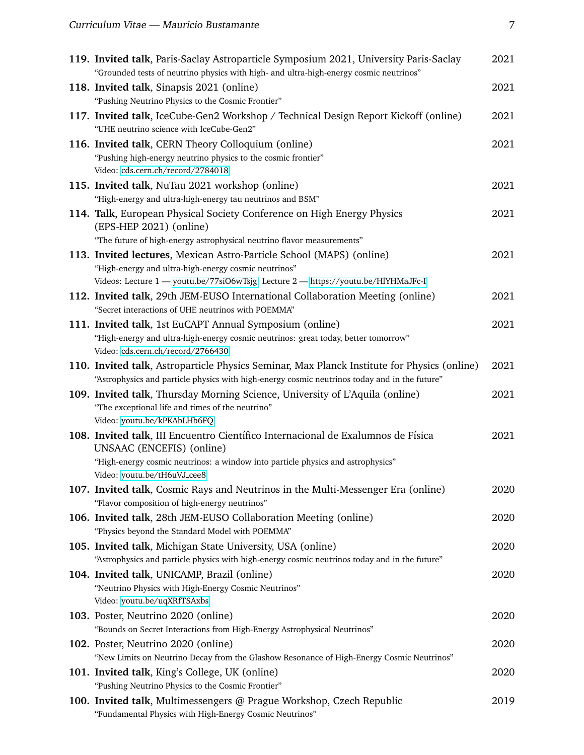| 119. Invited talk, Paris-Saclay Astroparticle Symposium 2021, University Paris-Saclay<br>"Grounded tests of neutrino physics with high- and ultra-high-energy cosmic neutrinos"              | 2021 |
|----------------------------------------------------------------------------------------------------------------------------------------------------------------------------------------------|------|
| 118. Invited talk, Sinapsis 2021 (online)                                                                                                                                                    | 2021 |
| "Pushing Neutrino Physics to the Cosmic Frontier"                                                                                                                                            |      |
| 117. Invited talk, IceCube-Gen2 Workshop / Technical Design Report Kickoff (online)<br>"UHE neutrino science with IceCube-Gen2"                                                              | 2021 |
| 116. Invited talk, CERN Theory Colloquium (online)                                                                                                                                           | 2021 |
| "Pushing high-energy neutrino physics to the cosmic frontier"                                                                                                                                |      |
| Video: cds.cern.ch/record/2784018                                                                                                                                                            |      |
| 115. Invited talk, NuTau 2021 workshop (online)                                                                                                                                              | 2021 |
| "High-energy and ultra-high-energy tau neutrinos and BSM"                                                                                                                                    |      |
| 114. Talk, European Physical Society Conference on High Energy Physics<br>(EPS-HEP 2021) (online)                                                                                            | 2021 |
| "The future of high-energy astrophysical neutrino flavor measurements"                                                                                                                       |      |
| 113. Invited lectures, Mexican Astro-Particle School (MAPS) (online)                                                                                                                         | 2021 |
| "High-energy and ultra-high-energy cosmic neutrinos"                                                                                                                                         |      |
| Videos: Lecture 1 - youtu.be/77siO6wTsjg; Lecture 2 - https://youtu.be/HlYHMaJFc-I                                                                                                           |      |
| 112. Invited talk, 29th JEM-EUSO International Collaboration Meeting (online)<br>"Secret interactions of UHE neutrinos with POEMMA"                                                          | 2021 |
| 111. Invited talk, 1st EuCAPT Annual Symposium (online)                                                                                                                                      | 2021 |
| "High-energy and ultra-high-energy cosmic neutrinos: great today, better tomorrow"                                                                                                           |      |
| Video: cds.cern.ch/record/2766430                                                                                                                                                            |      |
| 110. Invited talk, Astroparticle Physics Seminar, Max Planck Institute for Physics (online)<br>"Astrophysics and particle physics with high-energy cosmic neutrinos today and in the future" | 2021 |
| 109. Invited talk, Thursday Morning Science, University of L'Aquila (online)                                                                                                                 | 2021 |
| "The exceptional life and times of the neutrino"                                                                                                                                             |      |
| Video: youtu.be/kPKAbLHb6FQ                                                                                                                                                                  |      |
| 108. Invited talk, III Encuentro Científico Internacional de Exalumnos de Física<br>UNSAAC (ENCEFIS) (online)                                                                                | 2021 |
| "High-energy cosmic neutrinos: a window into particle physics and astrophysics"                                                                                                              |      |
| Video: youtu.be/tH6uVJ_cee8                                                                                                                                                                  |      |
| 107. Invited talk, Cosmic Rays and Neutrinos in the Multi-Messenger Era (online)<br>"Flavor composition of high-energy neutrinos"                                                            | 2020 |
| 106. Invited talk, 28th JEM-EUSO Collaboration Meeting (online)                                                                                                                              | 2020 |
| "Physics beyond the Standard Model with POEMMA"                                                                                                                                              |      |
| 105. Invited talk, Michigan State University, USA (online)                                                                                                                                   | 2020 |
| "Astrophysics and particle physics with high-energy cosmic neutrinos today and in the future"                                                                                                |      |
| 104. Invited talk, UNICAMP, Brazil (online)                                                                                                                                                  | 2020 |
| "Neutrino Physics with High-Energy Cosmic Neutrinos"                                                                                                                                         |      |
| Video: youtu.be/uqXRfTSAxbs                                                                                                                                                                  |      |
| 103. Poster, Neutrino 2020 (online)                                                                                                                                                          | 2020 |
| "Bounds on Secret Interactions from High-Energy Astrophysical Neutrinos"                                                                                                                     |      |
| 102. Poster, Neutrino 2020 (online)                                                                                                                                                          | 2020 |
| "New Limits on Neutrino Decay from the Glashow Resonance of High-Energy Cosmic Neutrinos"                                                                                                    |      |
| 101. Invited talk, King's College, UK (online)                                                                                                                                               | 2020 |
| "Pushing Neutrino Physics to the Cosmic Frontier"                                                                                                                                            |      |
| 100. Invited talk, Multimessengers @ Prague Workshop, Czech Republic<br>"Fundamental Physics with High-Energy Cosmic Neutrinos"                                                              | 2019 |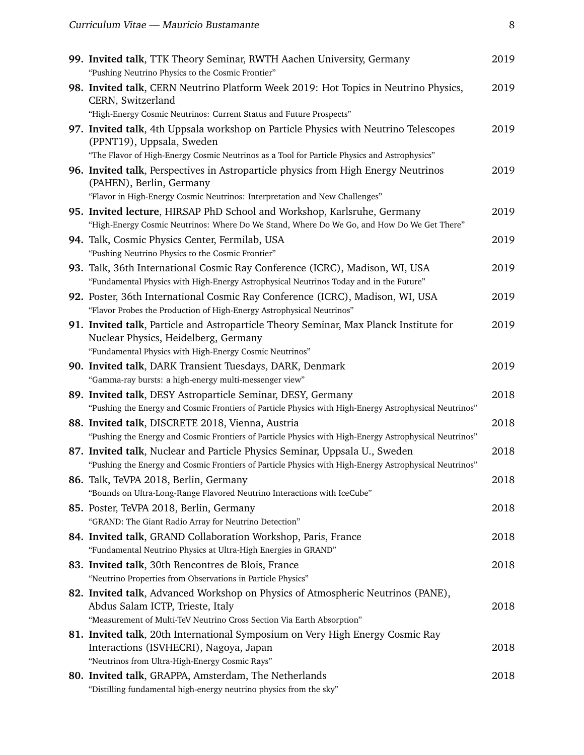| 99. Invited talk, TTK Theory Seminar, RWTH Aachen University, Germany<br>"Pushing Neutrino Physics to the Cosmic Frontier"                                                                                       | 2019 |
|------------------------------------------------------------------------------------------------------------------------------------------------------------------------------------------------------------------|------|
| 98. Invited talk, CERN Neutrino Platform Week 2019: Hot Topics in Neutrino Physics,<br>CERN, Switzerland<br>"High-Energy Cosmic Neutrinos: Current Status and Future Prospects"                                  | 2019 |
| 97. Invited talk, 4th Uppsala workshop on Particle Physics with Neutrino Telescopes<br>(PPNT19), Uppsala, Sweden<br>"The Flavor of High-Energy Cosmic Neutrinos as a Tool for Particle Physics and Astrophysics" | 2019 |
| 96. Invited talk, Perspectives in Astroparticle physics from High Energy Neutrinos<br>(PAHEN), Berlin, Germany<br>"Flavor in High-Energy Cosmic Neutrinos: Interpretation and New Challenges"                    | 2019 |
| 95. Invited lecture, HIRSAP PhD School and Workshop, Karlsruhe, Germany<br>"High-Energy Cosmic Neutrinos: Where Do We Stand, Where Do We Go, and How Do We Get There"                                            | 2019 |
| 94. Talk, Cosmic Physics Center, Fermilab, USA<br>"Pushing Neutrino Physics to the Cosmic Frontier"                                                                                                              | 2019 |
| 93. Talk, 36th International Cosmic Ray Conference (ICRC), Madison, WI, USA<br>"Fundamental Physics with High-Energy Astrophysical Neutrinos Today and in the Future"                                            | 2019 |
| 92. Poster, 36th International Cosmic Ray Conference (ICRC), Madison, WI, USA<br>"Flavor Probes the Production of High-Energy Astrophysical Neutrinos"                                                           | 2019 |
| 91. Invited talk, Particle and Astroparticle Theory Seminar, Max Planck Institute for<br>Nuclear Physics, Heidelberg, Germany<br>"Fundamental Physics with High-Energy Cosmic Neutrinos"                         | 2019 |
| 90. Invited talk, DARK Transient Tuesdays, DARK, Denmark<br>"Gamma-ray bursts: a high-energy multi-messenger view"                                                                                               | 2019 |
| 89. Invited talk, DESY Astroparticle Seminar, DESY, Germany<br>"Pushing the Energy and Cosmic Frontiers of Particle Physics with High-Energy Astrophysical Neutrinos"                                            | 2018 |
| 88. Invited talk, DISCRETE 2018, Vienna, Austria<br>"Pushing the Energy and Cosmic Frontiers of Particle Physics with High-Energy Astrophysical Neutrinos"                                                       | 2018 |
| 87. Invited talk, Nuclear and Particle Physics Seminar, Uppsala U., Sweden<br>"Pushing the Energy and Cosmic Frontiers of Particle Physics with High-Energy Astrophysical Neutrinos"                             | 2018 |
| 86. Talk, TeVPA 2018, Berlin, Germany<br>"Bounds on Ultra-Long-Range Flavored Neutrino Interactions with IceCube"                                                                                                | 2018 |
| 85. Poster, TeVPA 2018, Berlin, Germany<br>"GRAND: The Giant Radio Array for Neutrino Detection"                                                                                                                 | 2018 |
| 84. Invited talk, GRAND Collaboration Workshop, Paris, France<br>"Fundamental Neutrino Physics at Ultra-High Energies in GRAND"                                                                                  | 2018 |
| 83. Invited talk, 30th Rencontres de Blois, France<br>"Neutrino Properties from Observations in Particle Physics"                                                                                                | 2018 |
| 82. Invited talk, Advanced Workshop on Physics of Atmospheric Neutrinos (PANE),<br>Abdus Salam ICTP, Trieste, Italy<br>"Measurement of Multi-TeV Neutrino Cross Section Via Earth Absorption"                    | 2018 |
| 81. Invited talk, 20th International Symposium on Very High Energy Cosmic Ray<br>Interactions (ISVHECRI), Nagoya, Japan<br>"Neutrinos from Ultra-High-Energy Cosmic Rays"                                        | 2018 |
| 80. Invited talk, GRAPPA, Amsterdam, The Netherlands<br>"Distilling fundamental high-energy neutrino physics from the sky"                                                                                       | 2018 |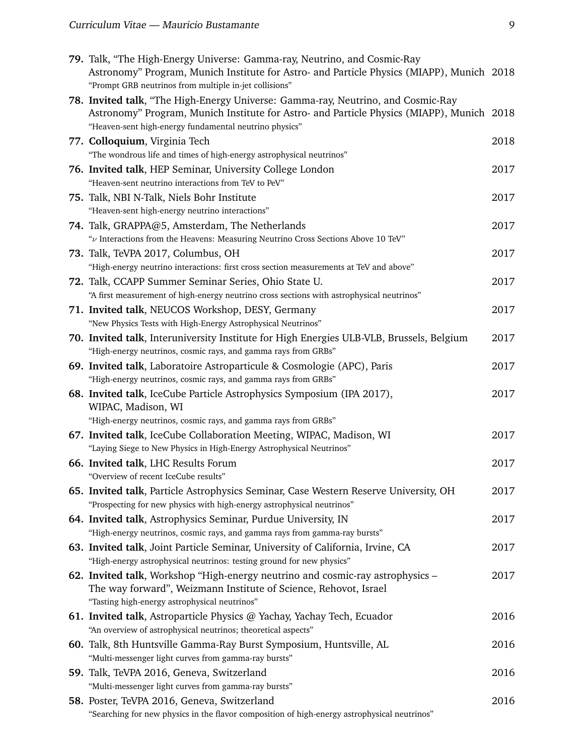| 79. Talk, "The High-Energy Universe: Gamma-ray, Neutrino, and Cosmic-Ray<br>Astronomy" Program, Munich Institute for Astro- and Particle Physics (MIAPP), Munich 2018<br>"Prompt GRB neutrinos from multiple in-jet collisions"         |      |
|-----------------------------------------------------------------------------------------------------------------------------------------------------------------------------------------------------------------------------------------|------|
| 78. Invited talk, "The High-Energy Universe: Gamma-ray, Neutrino, and Cosmic-Ray<br>Astronomy" Program, Munich Institute for Astro- and Particle Physics (MIAPP), Munich 2018<br>"Heaven-sent high-energy fundamental neutrino physics" |      |
| 77. Colloquium, Virginia Tech<br>"The wondrous life and times of high-energy astrophysical neutrinos"                                                                                                                                   | 2018 |
| 76. Invited talk, HEP Seminar, University College London<br>"Heaven-sent neutrino interactions from TeV to PeV"                                                                                                                         | 2017 |
| 75. Talk, NBI N-Talk, Niels Bohr Institute<br>"Heaven-sent high-energy neutrino interactions"                                                                                                                                           | 2017 |
| 74. Talk, GRAPPA@5, Amsterdam, The Netherlands<br>" $\nu$ Interactions from the Heavens: Measuring Neutrino Cross Sections Above 10 TeV"                                                                                                | 2017 |
| 73. Talk, TeVPA 2017, Columbus, OH<br>"High-energy neutrino interactions: first cross section measurements at TeV and above"                                                                                                            | 2017 |
| 72. Talk, CCAPP Summer Seminar Series, Ohio State U.<br>"A first measurement of high-energy neutrino cross sections with astrophysical neutrinos"                                                                                       | 2017 |
| 71. Invited talk, NEUCOS Workshop, DESY, Germany<br>"New Physics Tests with High-Energy Astrophysical Neutrinos"                                                                                                                        | 2017 |
| 70. Invited talk, Interuniversity Institute for High Energies ULB-VLB, Brussels, Belgium<br>"High-energy neutrinos, cosmic rays, and gamma rays from GRBs"                                                                              | 2017 |
| 69. Invited talk, Laboratoire Astroparticule & Cosmologie (APC), Paris<br>"High-energy neutrinos, cosmic rays, and gamma rays from GRBs"                                                                                                | 2017 |
| 68. Invited talk, IceCube Particle Astrophysics Symposium (IPA 2017),<br>WIPAC, Madison, WI                                                                                                                                             | 2017 |
| "High-energy neutrinos, cosmic rays, and gamma rays from GRBs"                                                                                                                                                                          |      |
| 67. Invited talk, IceCube Collaboration Meeting, WIPAC, Madison, WI<br>"Laying Siege to New Physics in High-Energy Astrophysical Neutrinos"                                                                                             | 2017 |
| 66. Invited talk, LHC Results Forum<br>"Overview of recent IceCube results"                                                                                                                                                             | 2017 |
| 65. Invited talk, Particle Astrophysics Seminar, Case Western Reserve University, OH<br>"Prospecting for new physics with high-energy astrophysical neutrinos"                                                                          | 2017 |
| 64. Invited talk, Astrophysics Seminar, Purdue University, IN<br>"High-energy neutrinos, cosmic rays, and gamma rays from gamma-ray bursts"                                                                                             | 2017 |
| 63. Invited talk, Joint Particle Seminar, University of California, Irvine, CA<br>"High-energy astrophysical neutrinos: testing ground for new physics"                                                                                 | 2017 |
| 62. Invited talk, Workshop "High-energy neutrino and cosmic-ray astrophysics –<br>The way forward", Weizmann Institute of Science, Rehovot, Israel<br>"Tasting high-energy astrophysical neutrinos"                                     | 2017 |
| 61. Invited talk, Astroparticle Physics @ Yachay, Yachay Tech, Ecuador<br>"An overview of astrophysical neutrinos; theoretical aspects"                                                                                                 | 2016 |
| 60. Talk, 8th Huntsville Gamma-Ray Burst Symposium, Huntsville, AL<br>"Multi-messenger light curves from gamma-ray bursts"                                                                                                              | 2016 |
| 59. Talk, TeVPA 2016, Geneva, Switzerland<br>"Multi-messenger light curves from gamma-ray bursts"                                                                                                                                       | 2016 |
| 58. Poster, TeVPA 2016, Geneva, Switzerland<br>"Searching for new physics in the flavor composition of high-energy astrophysical neutrinos"                                                                                             | 2016 |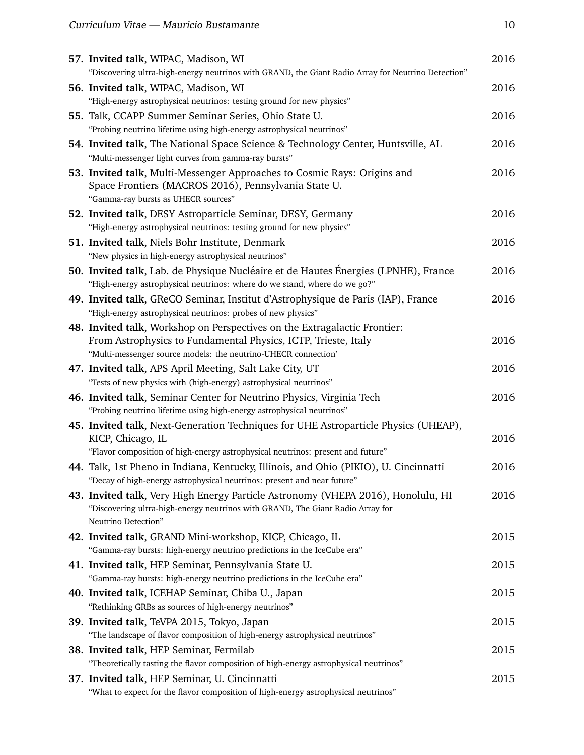| 57. Invited talk, WIPAC, Madison, WI                                                                                                | 2016 |
|-------------------------------------------------------------------------------------------------------------------------------------|------|
| "Discovering ultra-high-energy neutrinos with GRAND, the Giant Radio Array for Neutrino Detection"                                  |      |
| 56. Invited talk, WIPAC, Madison, WI                                                                                                | 2016 |
| "High-energy astrophysical neutrinos: testing ground for new physics"                                                               |      |
| 55. Talk, CCAPP Summer Seminar Series, Ohio State U.                                                                                | 2016 |
| "Probing neutrino lifetime using high-energy astrophysical neutrinos"                                                               |      |
| 54. Invited talk, The National Space Science & Technology Center, Huntsville, AL                                                    | 2016 |
| "Multi-messenger light curves from gamma-ray bursts"                                                                                |      |
| 53. Invited talk, Multi-Messenger Approaches to Cosmic Rays: Origins and                                                            | 2016 |
| Space Frontiers (MACROS 2016), Pennsylvania State U.                                                                                |      |
| "Gamma-ray bursts as UHECR sources"                                                                                                 |      |
| 52. Invited talk, DESY Astroparticle Seminar, DESY, Germany                                                                         | 2016 |
| "High-energy astrophysical neutrinos: testing ground for new physics"                                                               |      |
| 51. Invited talk, Niels Bohr Institute, Denmark                                                                                     | 2016 |
| "New physics in high-energy astrophysical neutrinos"                                                                                |      |
| 50. Invited talk, Lab. de Physique Nucléaire et de Hautes Énergies (LPNHE), France                                                  | 2016 |
| "High-energy astrophysical neutrinos: where do we stand, where do we go?"                                                           |      |
| 49. Invited talk, GReCO Seminar, Institut d'Astrophysique de Paris (IAP), France                                                    | 2016 |
| "High-energy astrophysical neutrinos: probes of new physics"                                                                        |      |
| 48. Invited talk, Workshop on Perspectives on the Extragalactic Frontier:                                                           |      |
| From Astrophysics to Fundamental Physics, ICTP, Trieste, Italy                                                                      | 2016 |
| "Multi-messenger source models: the neutrino-UHECR connection'                                                                      |      |
| 47. Invited talk, APS April Meeting, Salt Lake City, UT                                                                             | 2016 |
| "Tests of new physics with (high-energy) astrophysical neutrinos"                                                                   |      |
| 46. Invited talk, Seminar Center for Neutrino Physics, Virginia Tech                                                                | 2016 |
| "Probing neutrino lifetime using high-energy astrophysical neutrinos"                                                               |      |
| 45. Invited talk, Next-Generation Techniques for UHE Astroparticle Physics (UHEAP),                                                 |      |
| KICP, Chicago, IL                                                                                                                   | 2016 |
| "Flavor composition of high-energy astrophysical neutrinos: present and future"                                                     |      |
| 44. Talk, 1st Pheno in Indiana, Kentucky, Illinois, and Ohio (PIKIO), U. Cincinnatti                                                | 2016 |
| "Decay of high-energy astrophysical neutrinos: present and near future"                                                             |      |
| 43. Invited talk, Very High Energy Particle Astronomy (VHEPA 2016), Honolulu, HI                                                    | 2016 |
| "Discovering ultra-high-energy neutrinos with GRAND, The Giant Radio Array for<br>Neutrino Detection"                               |      |
|                                                                                                                                     |      |
| 42. Invited talk, GRAND Mini-workshop, KICP, Chicago, IL<br>"Gamma-ray bursts: high-energy neutrino predictions in the IceCube era" | 2015 |
|                                                                                                                                     |      |
| 41. Invited talk, HEP Seminar, Pennsylvania State U.<br>"Gamma-ray bursts: high-energy neutrino predictions in the IceCube era"     | 2015 |
|                                                                                                                                     |      |
| 40. Invited talk, ICEHAP Seminar, Chiba U., Japan<br>"Rethinking GRBs as sources of high-energy neutrinos"                          | 2015 |
|                                                                                                                                     |      |
| 39. Invited talk, TeVPA 2015, Tokyo, Japan<br>"The landscape of flavor composition of high-energy astrophysical neutrinos"          | 2015 |
|                                                                                                                                     |      |
| 38. Invited talk, HEP Seminar, Fermilab                                                                                             | 2015 |
| "Theoretically tasting the flavor composition of high-energy astrophysical neutrinos"                                               |      |
| 37. Invited talk, HEP Seminar, U. Cincinnatti                                                                                       | 2015 |
| "What to expect for the flavor composition of high-energy astrophysical neutrinos"                                                  |      |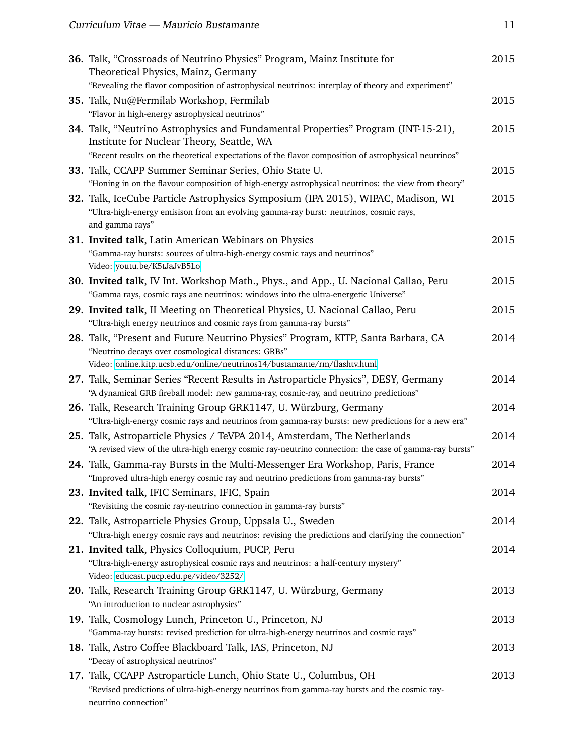| 36. Talk, "Crossroads of Neutrino Physics" Program, Mainz Institute for<br>Theoretical Physics, Mainz, Germany                                | 2015 |
|-----------------------------------------------------------------------------------------------------------------------------------------------|------|
| "Revealing the flavor composition of astrophysical neutrinos: interplay of theory and experiment"<br>35. Talk, Nu@Fermilab Workshop, Fermilab | 2015 |
| "Flavor in high-energy astrophysical neutrinos"                                                                                               |      |
| 34. Talk, "Neutrino Astrophysics and Fundamental Properties" Program (INT-15-21),<br>Institute for Nuclear Theory, Seattle, WA                | 2015 |
| "Recent results on the theoretical expectations of the flavor composition of astrophysical neutrinos"                                         |      |
| 33. Talk, CCAPP Summer Seminar Series, Ohio State U.                                                                                          | 2015 |
| "Honing in on the flavour composition of high-energy astrophysical neutrinos: the view from theory"                                           |      |
| 32. Talk, IceCube Particle Astrophysics Symposium (IPA 2015), WIPAC, Madison, WI                                                              | 2015 |
| "Ultra-high-energy emisison from an evolving gamma-ray burst: neutrinos, cosmic rays,                                                         |      |
| and gamma rays"                                                                                                                               |      |
| 31. Invited talk, Latin American Webinars on Physics                                                                                          | 2015 |
| "Gamma-ray bursts: sources of ultra-high-energy cosmic rays and neutrinos"                                                                    |      |
| Video: youtu.be/K5tJaJvB5Lo                                                                                                                   |      |
| 30. Invited talk, IV Int. Workshop Math., Phys., and App., U. Nacional Callao, Peru                                                           | 2015 |
| "Gamma rays, cosmic rays ane neutrinos: windows into the ultra-energetic Universe"                                                            |      |
| 29. Invited talk, II Meeting on Theoretical Physics, U. Nacional Callao, Peru                                                                 | 2015 |
| "Ultra-high energy neutrinos and cosmic rays from gamma-ray bursts"                                                                           |      |
| 28. Talk, "Present and Future Neutrino Physics" Program, KITP, Santa Barbara, CA<br>"Neutrino decays over cosmological distances: GRBs"       | 2014 |
| Video: online.kitp.ucsb.edu/online/neutrinos14/bustamante/rm/flashtv.html                                                                     |      |
| 27. Talk, Seminar Series "Recent Results in Astroparticle Physics", DESY, Germany                                                             | 2014 |
| "A dynamical GRB fireball model: new gamma-ray, cosmic-ray, and neutrino predictions"                                                         |      |
| 26. Talk, Research Training Group GRK1147, U. Würzburg, Germany                                                                               | 2014 |
| "Ultra-high-energy cosmic rays and neutrinos from gamma-ray bursts: new predictions for a new era"                                            |      |
| 25. Talk, Astroparticle Physics / TeVPA 2014, Amsterdam, The Netherlands                                                                      | 2014 |
| "A revised view of the ultra-high energy cosmic ray-neutrino connection: the case of gamma-ray bursts"                                        |      |
| 24. Talk, Gamma-ray Bursts in the Multi-Messenger Era Workshop, Paris, France                                                                 | 2014 |
| "Improved ultra-high energy cosmic ray and neutrino predictions from gamma-ray bursts"                                                        |      |
| 23. Invited talk, IFIC Seminars, IFIC, Spain                                                                                                  | 2014 |
| "Revisiting the cosmic ray-neutrino connection in gamma-ray bursts"                                                                           |      |
| 22. Talk, Astroparticle Physics Group, Uppsala U., Sweden                                                                                     | 2014 |
| "Ultra-high energy cosmic rays and neutrinos: revising the predictions and clarifying the connection"                                         |      |
| 21. Invited talk, Physics Colloquium, PUCP, Peru                                                                                              | 2014 |
| "Ultra-high-energy astrophysical cosmic rays and neutrinos: a half-century mystery"<br>Video: educast.pucp.edu.pe/video/3252/                 |      |
| 20. Talk, Research Training Group GRK1147, U. Würzburg, Germany                                                                               | 2013 |
| "An introduction to nuclear astrophysics"                                                                                                     |      |
| 19. Talk, Cosmology Lunch, Princeton U., Princeton, NJ                                                                                        | 2013 |
| "Gamma-ray bursts: revised prediction for ultra-high-energy neutrinos and cosmic rays"                                                        |      |
| 18. Talk, Astro Coffee Blackboard Talk, IAS, Princeton, NJ                                                                                    | 2013 |
| "Decay of astrophysical neutrinos"                                                                                                            |      |
| 17. Talk, CCAPP Astroparticle Lunch, Ohio State U., Columbus, OH                                                                              | 2013 |
| "Revised predictions of ultra-high-energy neutrinos from gamma-ray bursts and the cosmic ray-                                                 |      |
| neutrino connection"                                                                                                                          |      |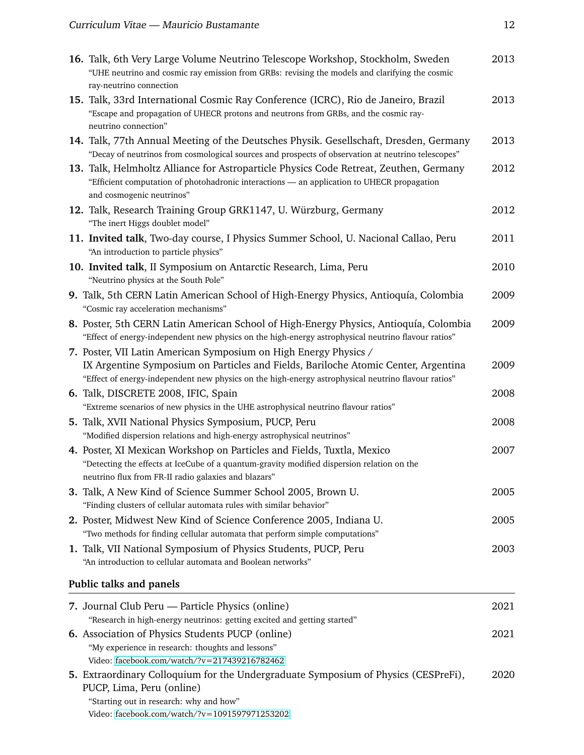| 16. Talk, 6th Very Large Volume Neutrino Telescope Workshop, Stockholm, Sweden<br>"UHE neutrino and cosmic ray emission from GRBs: revising the models and clarifying the cosmic<br>ray-neutrino connection                                                   | 2013 |
|---------------------------------------------------------------------------------------------------------------------------------------------------------------------------------------------------------------------------------------------------------------|------|
| 15. Talk, 33rd International Cosmic Ray Conference (ICRC), Rio de Janeiro, Brazil<br>"Escape and propagation of UHECR protons and neutrons from GRBs, and the cosmic ray-<br>neutrino connection"                                                             | 2013 |
| 14. Talk, 77th Annual Meeting of the Deutsches Physik. Gesellschaft, Dresden, Germany<br>"Decay of neutrinos from cosmological sources and prospects of observation at neutrino telescopes"                                                                   | 2013 |
| 13. Talk, Helmholtz Alliance for Astroparticle Physics Code Retreat, Zeuthen, Germany<br>"Efficient computation of photohadronic interactions - an application to UHECR propagation<br>and cosmogenic neutrinos"                                              | 2012 |
| 12. Talk, Research Training Group GRK1147, U. Würzburg, Germany<br>"The inert Higgs doublet model"                                                                                                                                                            | 2012 |
| 11. Invited talk, Two-day course, I Physics Summer School, U. Nacional Callao, Peru<br>"An introduction to particle physics"                                                                                                                                  | 2011 |
| 10. Invited talk, II Symposium on Antarctic Research, Lima, Peru<br>"Neutrino physics at the South Pole"                                                                                                                                                      | 2010 |
| 9. Talk, 5th CERN Latin American School of High-Energy Physics, Antioquía, Colombia<br>"Cosmic ray acceleration mechanisms"                                                                                                                                   | 2009 |
| 8. Poster, 5th CERN Latin American School of High-Energy Physics, Antioquía, Colombia<br>"Effect of energy-independent new physics on the high-energy astrophysical neutrino flavour ratios"                                                                  | 2009 |
| 7. Poster, VII Latin American Symposium on High Energy Physics /<br>IX Argentine Symposium on Particles and Fields, Bariloche Atomic Center, Argentina<br>"Effect of energy-independent new physics on the high-energy astrophysical neutrino flavour ratios" | 2009 |
| 6. Talk, DISCRETE 2008, IFIC, Spain<br>"Extreme scenarios of new physics in the UHE astrophysical neutrino flavour ratios"                                                                                                                                    | 2008 |
| 5. Talk, XVII National Physics Symposium, PUCP, Peru<br>"Modified dispersion relations and high-energy astrophysical neutrinos"                                                                                                                               | 2008 |
| 4. Poster, XI Mexican Workshop on Particles and Fields, Tuxtla, Mexico<br>"Detecting the effects at IceCube of a quantum-gravity modified dispersion relation on the<br>neutrino flux from FR-II radio galaxies and blazars"                                  | 2007 |
| 3. Talk, A New Kind of Science Summer School 2005, Brown U.<br>"Finding clusters of cellular automata rules with similar behavior"                                                                                                                            | 2005 |
| 2. Poster, Midwest New Kind of Science Conference 2005, Indiana U.<br>"Two methods for finding cellular automata that perform simple computations"                                                                                                            | 2005 |
| 1. Talk, VII National Symposium of Physics Students, PUCP, Peru<br>"An introduction to cellular automata and Boolean networks"                                                                                                                                | 2003 |
| <b>Public talks and panels</b>                                                                                                                                                                                                                                |      |
| 7. Journal Club Peru — Particle Physics (online)<br>"Research in high-energy neutrinos: getting excited and getting started"                                                                                                                                  | 2021 |
| 6. Association of Physics Students PUCP (online)<br>"My experience in research: thoughts and lessons"<br>Video: facebook.com/watch/?v=217439216782462                                                                                                         | 2021 |
| 5. Extraordinary Colloquium for the Undergraduate Symposium of Physics (CESPreFi),<br>PUCP, Lima, Peru (online)                                                                                                                                               | 2020 |

"Starting out in research: why and how"

Video: [facebook.com/watch/?v=1091597971253202](https://www.facebook.com/watch/?v=1091597971253202)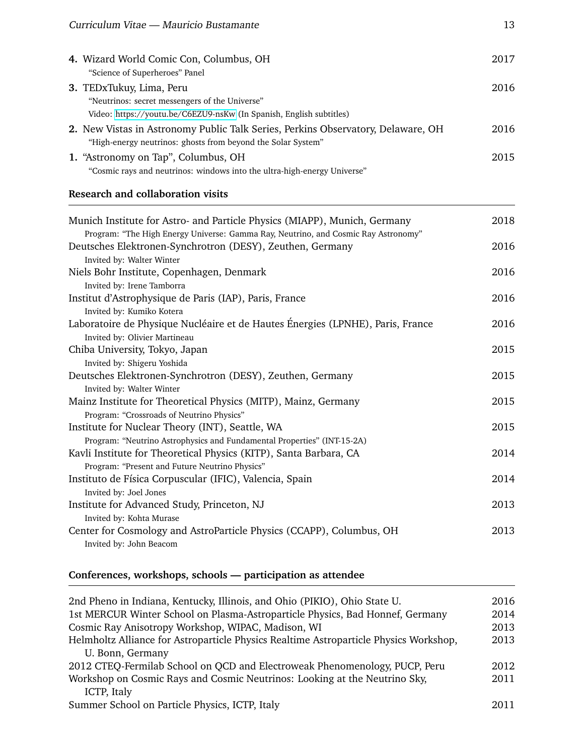| 4. Wizard World Comic Con, Columbus, OH                                          | 2017 |
|----------------------------------------------------------------------------------|------|
| "Science of Superheroes" Panel                                                   |      |
| 3. TEDxTukuy, Lima, Peru                                                         | 2016 |
| "Neutrinos: secret messengers of the Universe"                                   |      |
| Video: https://youtu.be/C6EZU9-nsKw (In Spanish, English subtitles)              |      |
| 2. New Vistas in Astronomy Public Talk Series, Perkins Observatory, Delaware, OH | 2016 |
| "High-energy neutrinos: ghosts from beyond the Solar System"                     |      |
| 1. "Astronomy on Tap", Columbus, OH                                              | 2015 |
| "Cosmic rays and neutrinos: windows into the ultra-high-energy Universe"         |      |

#### **Research and collaboration visits**

| Munich Institute for Astro- and Particle Physics (MIAPP), Munich, Germany          | 2018 |
|------------------------------------------------------------------------------------|------|
| Program: "The High Energy Universe: Gamma Ray, Neutrino, and Cosmic Ray Astronomy" |      |
| Deutsches Elektronen-Synchrotron (DESY), Zeuthen, Germany                          | 2016 |
| Invited by: Walter Winter                                                          |      |
| Niels Bohr Institute, Copenhagen, Denmark                                          | 2016 |
| Invited by: Irene Tamborra                                                         |      |
| Institut d'Astrophysique de Paris (IAP), Paris, France                             | 2016 |
| Invited by: Kumiko Kotera                                                          |      |
| Laboratoire de Physique Nucléaire et de Hautes Énergies (LPNHE), Paris, France     | 2016 |
| Invited by: Olivier Martineau                                                      |      |
| Chiba University, Tokyo, Japan                                                     | 2015 |
| Invited by: Shigeru Yoshida                                                        |      |
| Deutsches Elektronen-Synchrotron (DESY), Zeuthen, Germany                          | 2015 |
| Invited by: Walter Winter                                                          |      |
| Mainz Institute for Theoretical Physics (MITP), Mainz, Germany                     | 2015 |
| Program: "Crossroads of Neutrino Physics"                                          |      |
| Institute for Nuclear Theory (INT), Seattle, WA                                    | 2015 |
| Program: "Neutrino Astrophysics and Fundamental Properties" (INT-15-2A)            |      |
| Kavli Institute for Theoretical Physics (KITP), Santa Barbara, CA                  | 2014 |
| Program: "Present and Future Neutrino Physics"                                     |      |
| Instituto de Física Corpuscular (IFIC), Valencia, Spain                            | 2014 |
| Invited by: Joel Jones                                                             |      |
| Institute for Advanced Study, Princeton, NJ                                        | 2013 |
| Invited by: Kohta Murase                                                           |      |
| Center for Cosmology and AstroParticle Physics (CCAPP), Columbus, OH               | 2013 |
| Invited by: John Beacom                                                            |      |

## **Conferences, workshops, schools — participation as attendee**

| 2nd Pheno in Indiana, Kentucky, Illinois, and Ohio (PIKIO), Ohio State U.             | 2016 |
|---------------------------------------------------------------------------------------|------|
| 1st MERCUR Winter School on Plasma-Astroparticle Physics, Bad Honnef, Germany         | 2014 |
| Cosmic Ray Anisotropy Workshop, WIPAC, Madison, WI                                    | 2013 |
| Helmholtz Alliance for Astroparticle Physics Realtime Astroparticle Physics Workshop, | 2013 |
| U. Bonn, Germany                                                                      |      |
| 2012 CTEQ-Fermilab School on QCD and Electroweak Phenomenology, PUCP, Peru            | 2012 |
| Workshop on Cosmic Rays and Cosmic Neutrinos: Looking at the Neutrino Sky,            | 2011 |
| ICTP, Italy                                                                           |      |
| Summer School on Particle Physics, ICTP, Italy                                        | 2011 |
|                                                                                       |      |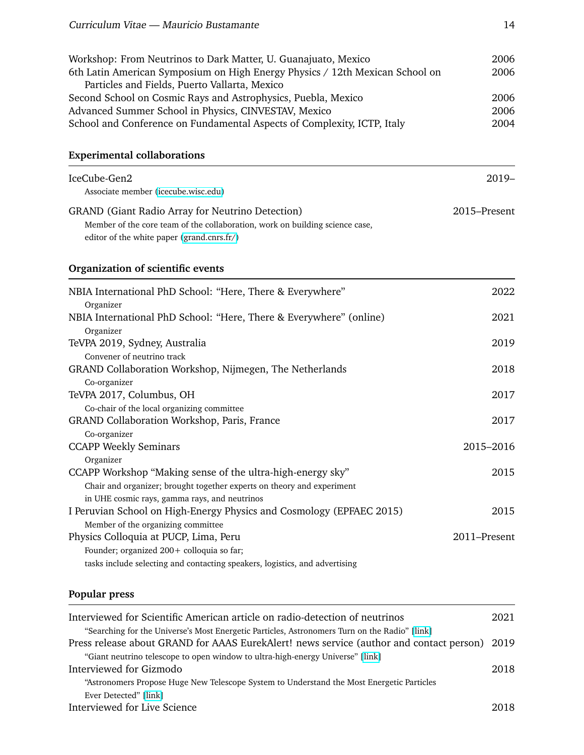| Workshop: From Neutrinos to Dark Matter, U. Guanajuato, Mexico               | 2006 |
|------------------------------------------------------------------------------|------|
| 6th Latin American Symposium on High Energy Physics / 12th Mexican School on | 2006 |
| Particles and Fields, Puerto Vallarta, Mexico                                |      |
| Second School on Cosmic Rays and Astrophysics, Puebla, Mexico                | 2006 |
| Advanced Summer School in Physics, CINVESTAV, Mexico                         | 2006 |
| School and Conference on Fundamental Aspects of Complexity, ICTP, Italy      | 2004 |
|                                                                              |      |

### **Experimental collaborations**

| IceCube-Gen2<br>Associate member (icecube.wisc.edu)                                                                                                                                   | $2019-$      |
|---------------------------------------------------------------------------------------------------------------------------------------------------------------------------------------|--------------|
| <b>GRAND</b> (Giant Radio Array for Neutrino Detection)<br>Member of the core team of the collaboration, work on building science case,<br>editor of the white paper (grand.cnrs.fr/) | 2015-Present |
| Organization of scientific events                                                                                                                                                     |              |
| NBIA International PhD School: "Here, There & Everywhere"<br>Organizer                                                                                                                | 2022         |
| NBIA International PhD School: "Here, There & Everywhere" (online)<br>Organizer                                                                                                       | 2021         |
| TeVPA 2019, Sydney, Australia<br>Convener of neutrino track                                                                                                                           | 2019         |
| GRAND Collaboration Workshop, Nijmegen, The Netherlands<br>Co-organizer                                                                                                               | 2018         |
| TeVPA 2017, Columbus, OH<br>Co-chair of the local organizing committee                                                                                                                | 2017         |
| GRAND Collaboration Workshop, Paris, France<br>Co-organizer                                                                                                                           | 2017         |
| <b>CCAPP Weekly Seminars</b><br>Organizer                                                                                                                                             | 2015-2016    |
| CCAPP Workshop "Making sense of the ultra-high-energy sky"<br>Chair and organizer; brought together experts on theory and experiment<br>in UHE cosmic rays, gamma rays, and neutrinos | 2015         |
| I Peruvian School on High-Energy Physics and Cosmology (EPFAEC 2015)<br>Member of the organizing committee                                                                            | 2015         |
| Physics Colloquia at PUCP, Lima, Peru<br>Founder; organized 200+ colloquia so far;<br>tasks include selecting and contacting speakers, logistics, and advertising                     | 2011-Present |

## **Popular press**

| Interviewed for Scientific American article on radio-detection of neutrinos                   | 2021 |
|-----------------------------------------------------------------------------------------------|------|
| "Searching for the Universe's Most Energetic Particles, Astronomers Turn on the Radio" [link] |      |
| Press release about GRAND for AAAS EurekAlert! news service (author and contact person) 2019  |      |
| "Giant neutrino telescope to open window to ultra-high-energy Universe" [link]                |      |
| Interviewed for Gizmodo                                                                       | 2018 |
| "Astronomers Propose Huge New Telescope System to Understand the Most Energetic Particles     |      |
| Ever Detected" [link]                                                                         |      |
| Interviewed for Live Science                                                                  | 2018 |